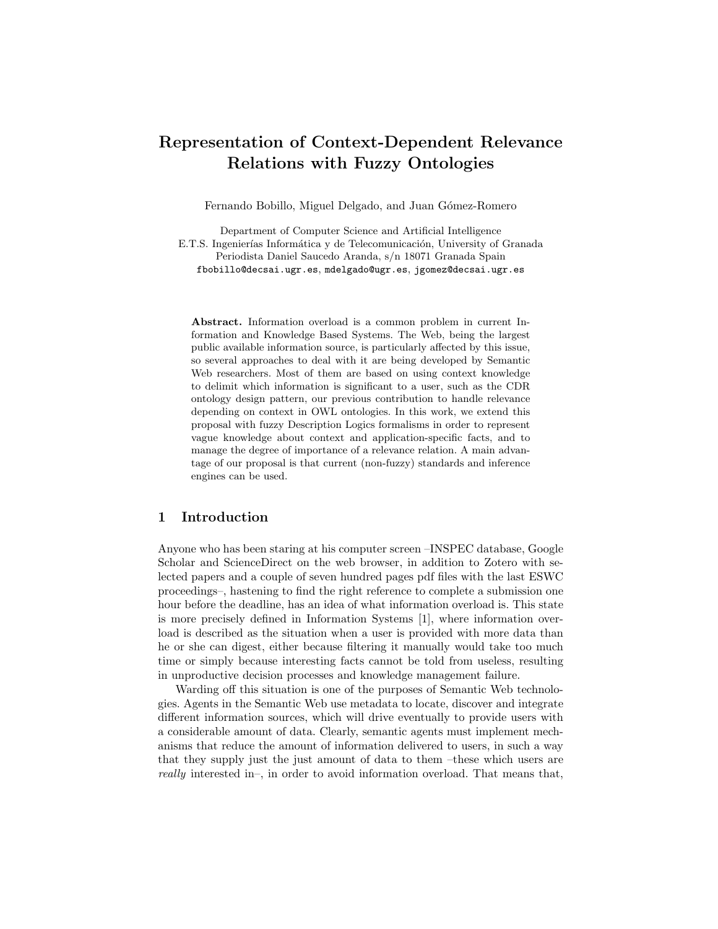# Representation of Context-Dependent Relevance Relations with Fuzzy Ontologies

Fernando Bobillo, Miguel Delgado, and Juan Gómez-Romero

Department of Computer Science and Artificial Intelligence E.T.S. Ingenierías Informática y de Telecomunicación, University of Granada Periodista Daniel Saucedo Aranda, s/n 18071 Granada Spain fbobillo@decsai.ugr.es, mdelgado@ugr.es, jgomez@decsai.ugr.es

Abstract. Information overload is a common problem in current Information and Knowledge Based Systems. The Web, being the largest public available information source, is particularly affected by this issue, so several approaches to deal with it are being developed by Semantic Web researchers. Most of them are based on using context knowledge to delimit which information is significant to a user, such as the CDR ontology design pattern, our previous contribution to handle relevance depending on context in OWL ontologies. In this work, we extend this proposal with fuzzy Description Logics formalisms in order to represent vague knowledge about context and application-specific facts, and to manage the degree of importance of a relevance relation. A main advantage of our proposal is that current (non-fuzzy) standards and inference engines can be used.

## 1 Introduction

Anyone who has been staring at his computer screen –INSPEC database, Google Scholar and ScienceDirect on the web browser, in addition to Zotero with selected papers and a couple of seven hundred pages pdf files with the last ESWC proceedings–, hastening to find the right reference to complete a submission one hour before the deadline, has an idea of what information overload is. This state is more precisely defined in Information Systems [1], where information overload is described as the situation when a user is provided with more data than he or she can digest, either because filtering it manually would take too much time or simply because interesting facts cannot be told from useless, resulting in unproductive decision processes and knowledge management failure.

Warding off this situation is one of the purposes of Semantic Web technologies. Agents in the Semantic Web use metadata to locate, discover and integrate different information sources, which will drive eventually to provide users with a considerable amount of data. Clearly, semantic agents must implement mechanisms that reduce the amount of information delivered to users, in such a way that they supply just the just amount of data to them –these which users are really interested in–, in order to avoid information overload. That means that,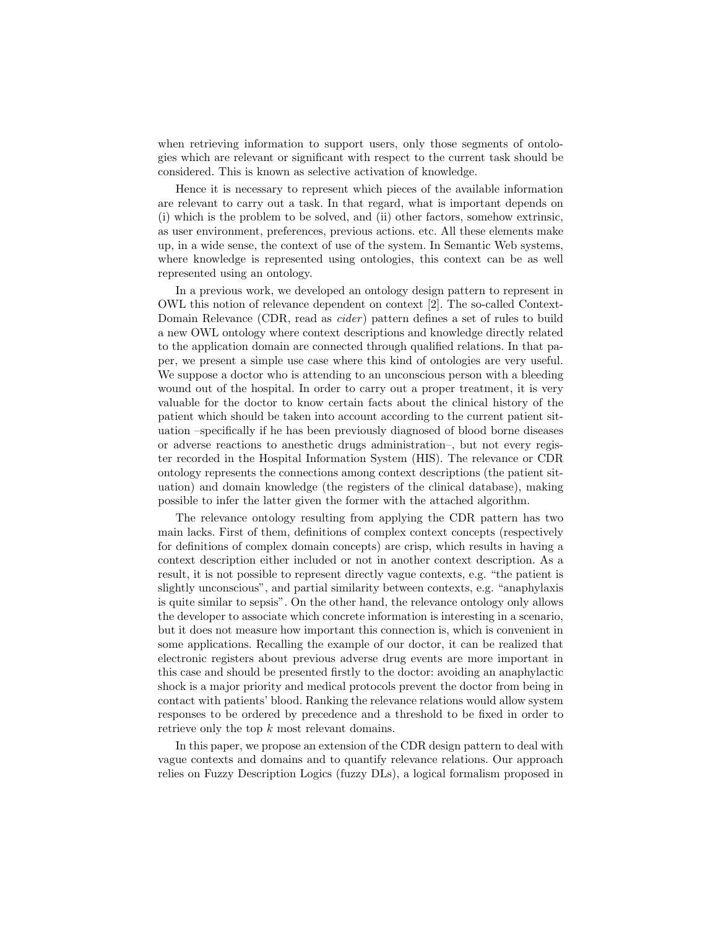when retrieving information to support users, only those segments of ontologies which are relevant or significant with respect to the current task should be considered. This is known as selective activation of knowledge.

Hence it is necessary to represent which pieces of the available information are relevant to carry out a task. In that regard, what is important depends on (i) which is the problem to be solved, and (ii) other factors, somehow extrinsic, as user environment, preferences, previous actions. etc. All these elements make up, in a wide sense, the context of use of the system. In Semantic Web systems, where knowledge is represented using ontologies, this context can be as well represented using an ontology.

In a previous work, we developed an ontology design pattern to represent in OWL this notion of relevance dependent on context [2]. The so-called Context-Domain Relevance (CDR, read as *cider*) pattern defines a set of rules to build a new OWL ontology where context descriptions and knowledge directly related to the application domain are connected through qualified relations. In that paper, we present a simple use case where this kind of ontologies are very useful. We suppose a doctor who is attending to an unconscious person with a bleeding wound out of the hospital. In order to carry out a proper treatment, it is very valuable for the doctor to know certain facts about the clinical history of the patient which should be taken into account according to the current patient situation –specifically if he has been previously diagnosed of blood borne diseases or adverse reactions to anesthetic drugs administration–, but not every register recorded in the Hospital Information System (HIS). The relevance or CDR ontology represents the connections among context descriptions (the patient situation) and domain knowledge (the registers of the clinical database), making possible to infer the latter given the former with the attached algorithm.

The relevance ontology resulting from applying the CDR pattern has two main lacks. First of them, definitions of complex context concepts (respectively for definitions of complex domain concepts) are crisp, which results in having a context description either included or not in another context description. As a result, it is not possible to represent directly vague contexts, e.g. "the patient is slightly unconscious", and partial similarity between contexts, e.g. "anaphylaxis is quite similar to sepsis". On the other hand, the relevance ontology only allows the developer to associate which concrete information is interesting in a scenario, but it does not measure how important this connection is, which is convenient in some applications. Recalling the example of our doctor, it can be realized that electronic registers about previous adverse drug events are more important in this case and should be presented firstly to the doctor: avoiding an anaphylactic shock is a major priority and medical protocols prevent the doctor from being in contact with patients' blood. Ranking the relevance relations would allow system responses to be ordered by precedence and a threshold to be fixed in order to retrieve only the top k most relevant domains.

In this paper, we propose an extension of the CDR design pattern to deal with vague contexts and domains and to quantify relevance relations. Our approach relies on Fuzzy Description Logics (fuzzy DLs), a logical formalism proposed in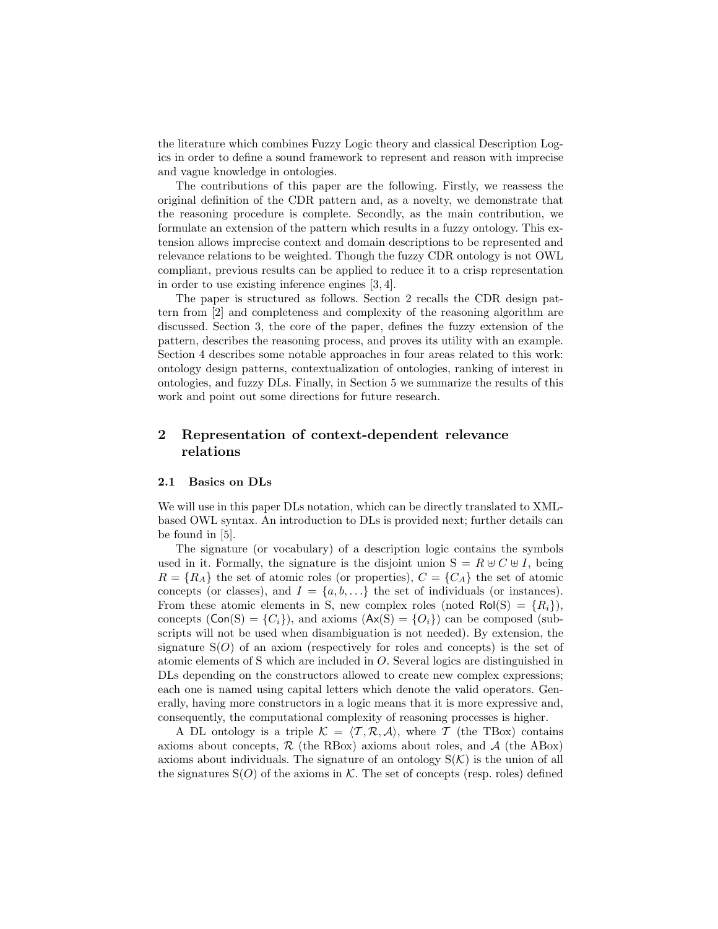the literature which combines Fuzzy Logic theory and classical Description Logics in order to define a sound framework to represent and reason with imprecise and vague knowledge in ontologies.

The contributions of this paper are the following. Firstly, we reassess the original definition of the CDR pattern and, as a novelty, we demonstrate that the reasoning procedure is complete. Secondly, as the main contribution, we formulate an extension of the pattern which results in a fuzzy ontology. This extension allows imprecise context and domain descriptions to be represented and relevance relations to be weighted. Though the fuzzy CDR ontology is not OWL compliant, previous results can be applied to reduce it to a crisp representation in order to use existing inference engines [3, 4].

The paper is structured as follows. Section 2 recalls the CDR design pattern from [2] and completeness and complexity of the reasoning algorithm are discussed. Section 3, the core of the paper, defines the fuzzy extension of the pattern, describes the reasoning process, and proves its utility with an example. Section 4 describes some notable approaches in four areas related to this work: ontology design patterns, contextualization of ontologies, ranking of interest in ontologies, and fuzzy DLs. Finally, in Section 5 we summarize the results of this work and point out some directions for future research.

## 2 Representation of context-dependent relevance relations

#### 2.1 Basics on DLs

We will use in this paper DLs notation, which can be directly translated to XMLbased OWL syntax. An introduction to DLs is provided next; further details can be found in [5].

The signature (or vocabulary) of a description logic contains the symbols used in it. Formally, the signature is the disjoint union  $S = R \oplus C \oplus I$ , being  $R = \{R_A\}$  the set of atomic roles (or properties),  $C = \{C_A\}$  the set of atomic concepts (or classes), and  $I = \{a, b, \ldots\}$  the set of individuals (or instances). From these atomic elements in S, new complex roles (noted  $\text{Pol}(S) = \{R_i\}$ ), concepts  $(Con(S) = {C<sub>i</sub>}),$  and axioms  $(Ax(S) = {O<sub>i</sub>})$  can be composed (subscripts will not be used when disambiguation is not needed). By extension, the signature  $S(O)$  of an axiom (respectively for roles and concepts) is the set of atomic elements of S which are included in O. Several logics are distinguished in DLs depending on the constructors allowed to create new complex expressions; each one is named using capital letters which denote the valid operators. Generally, having more constructors in a logic means that it is more expressive and, consequently, the computational complexity of reasoning processes is higher.

A DL ontology is a triple  $\mathcal{K} = \langle \mathcal{T}, \mathcal{R}, \mathcal{A} \rangle$ , where T (the TBox) contains axioms about concepts,  $\mathcal R$  (the RBox) axioms about roles, and  $\mathcal A$  (the ABox) axioms about individuals. The signature of an ontology  $S(\mathcal{K})$  is the union of all the signatures  $S(O)$  of the axioms in K. The set of concepts (resp. roles) defined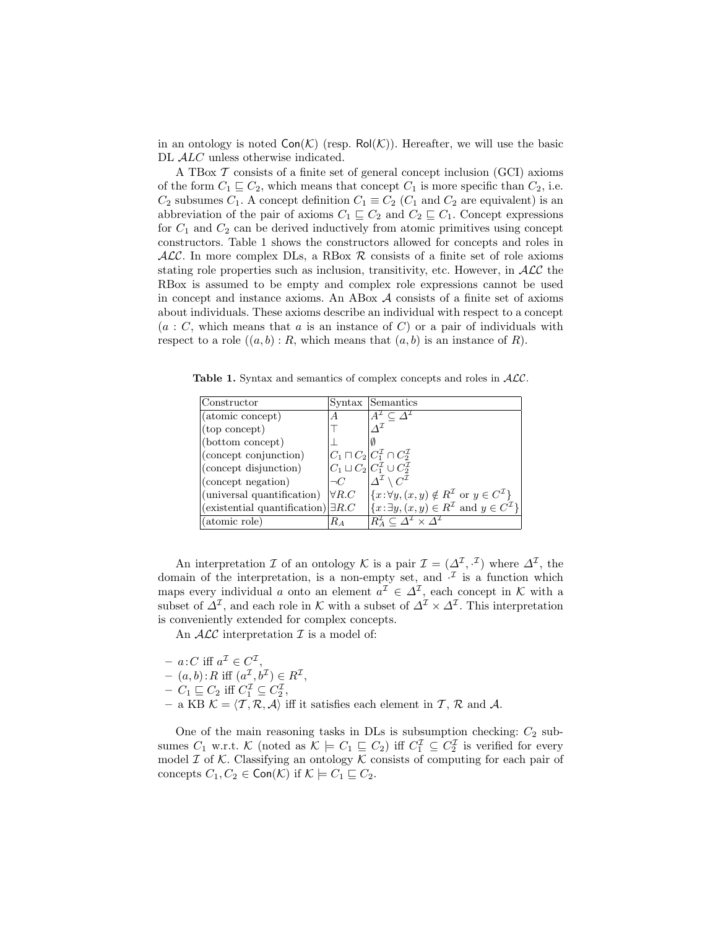in an ontology is noted  $Con(\mathcal{K})$  (resp.  $Pol(\mathcal{K})$ ). Hereafter, we will use the basic DL  $ALC$  unless otherwise indicated.

A TBox  $\mathcal T$  consists of a finite set of general concept inclusion (GCI) axioms of the form  $C_1 \sqsubseteq C_2$ , which means that concept  $C_1$  is more specific than  $C_2$ , i.e.  $C_2$  subsumes  $C_1$ . A concept definition  $C_1 \equiv C_2$  ( $C_1$  and  $C_2$  are equivalent) is an abbreviation of the pair of axioms  $C_1 \sqsubseteq C_2$  and  $C_2 \sqsubseteq C_1$ . Concept expressions for  $C_1$  and  $C_2$  can be derived inductively from atomic primitives using concept constructors. Table 1 shows the constructors allowed for concepts and roles in  $ALC$ . In more complex DLs, a RBox  $R$  consists of a finite set of role axioms stating role properties such as inclusion, transitivity, etc. However, in  $ALC$  the RBox is assumed to be empty and complex role expressions cannot be used in concept and instance axioms. An ABox A consists of a finite set of axioms about individuals. These axioms describe an individual with respect to a concept  $(a : C$ , which means that a is an instance of C) or a pair of individuals with respect to a role  $((a, b) : R$ , which means that  $(a, b)$  is an instance of R).

Table 1. Syntax and semantics of complex concepts and roles in  $ALC$ .

| Constructor                                |               | Syntax Semantics                                                                            |
|--------------------------------------------|---------------|---------------------------------------------------------------------------------------------|
| (atomic concept)                           |               |                                                                                             |
| (top concept)                              |               |                                                                                             |
| (bottom concept)                           |               |                                                                                             |
| (concept conjunction)                      |               | $ C_1 \sqcap C_2  C_1^{\mathcal{I}} \cap C_2^{\mathcal{I}}$                                 |
| (concept disjunction)                      |               | $C_1 \sqcup C_2$ $C_1^{\mathcal{I}} \cup C_2^{\mathcal{I}}$                                 |
| (concept negation)                         | $\neg C$      | $\Lambda^{\mathcal{I}} \setminus C^{\mathcal{I}}$                                           |
| (universal quantification)                 | $\forall R.C$ | $\{x:\forall y,(x,y)\notin R^{\mathcal{I}}\text{ or }y\in C^{\mathcal{I}}\}\$               |
| (existential quantification) $\exists R.C$ |               | $\left \{x:\exists y,(x,y)\in R^{\mathcal{I}}\}\right $ and $y\in C^{\mathcal{I}}\}\right $ |
| (atomic role)                              | Rа            | $R^{\perp}_{A} \subset \Lambda^{\perp} \times \overline{\Lambda^{\perp}}$                   |

An interpretation  $\mathcal I$  of an ontology  $\mathcal K$  is a pair  $\mathcal I = (\Delta^{\mathcal I}, \cdot^{\mathcal I})$  where  $\Delta^{\mathcal I}$ , the domain of the interpretation, is a non-empty set, and  $\mathcal{I}$  is a function which maps every individual a onto an element  $a^{\mathcal{I}} \in \Delta^{\mathcal{I}}$ , each concept in K with a subset of  $\Delta^{\mathcal{I}}$ , and each role in K with a subset of  $\Delta^{\mathcal{I}} \times \Delta^{\mathcal{I}}$ . This interpretation is conveniently extended for complex concepts.

An  $ALC$  interpretation  $\mathcal I$  is a model of:

- $a : C \text{ iff } a^{\mathcal{I}} \in C^{\mathcal{I}},$
- $(a, b)$ : R iff  $(a^{\mathcal{I}}, b^{\mathcal{I}}) \in R^{\mathcal{I}},$
- $C_1 \sqsubseteq C_2$  iff  $C_1^{\mathcal{I}} \subseteq C_2^{\mathcal{I}},$
- a KB  $\mathcal{K} = \langle \mathcal{T}, \mathcal{R}, \mathcal{A} \rangle$  iff it satisfies each element in  $\mathcal{T}, \mathcal{R}$  and  $\mathcal{A}$ .

One of the main reasoning tasks in  $\text{DLs}$  is subsumption checking:  $C_2$  subsumes  $C_1$  w.r.t.  $K$  (noted as  $K \models C_1 \sqsubseteq C_2$ ) iff  $C_1^{\mathcal{I}} \subseteq C_2^{\mathcal{I}}$  is verified for every model  $\mathcal I$  of  $\mathcal K$ . Classifying an ontology  $\mathcal K$  consists of computing for each pair of concepts  $C_1, C_2 \in \text{Con}(\mathcal{K})$  if  $\mathcal{K} \models C_1 \sqsubseteq C_2$ .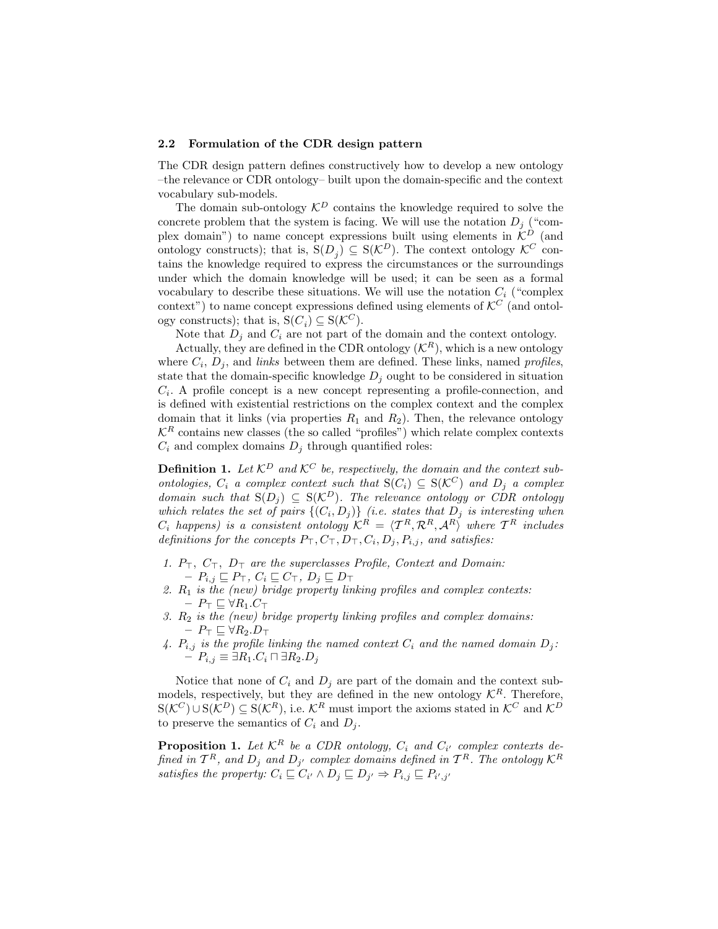#### 2.2 Formulation of the CDR design pattern

The CDR design pattern defines constructively how to develop a new ontology –the relevance or CDR ontology– built upon the domain-specific and the context vocabulary sub-models.

The domain sub-ontology  $\mathcal{K}^D$  contains the knowledge required to solve the concrete problem that the system is facing. We will use the notation  $D_i$  ("complex domain") to name concept expressions built using elements in  $\mathcal{K}^D$  (and ontology constructs); that is,  $S(D_j) \subseteq S(\mathcal{K}^D)$ . The context ontology  $\mathcal{K}^C$  contains the knowledge required to express the circumstances or the surroundings under which the domain knowledge will be used; it can be seen as a formal vocabulary to describe these situations. We will use the notation  $C_i$  ("complex") context") to name concept expressions defined using elements of  $\mathcal{K}^C$  (and ontology constructs); that is,  $S(C_i) \subseteq S(\mathcal{K}^C)$ .

Note that  $D_i$  and  $C_i$  are not part of the domain and the context ontology.

Actually, they are defined in the CDR ontology  $(K<sup>R</sup>)$ , which is a new ontology where  $C_i$ ,  $D_j$ , and *links* between them are defined. These links, named *profiles*, state that the domain-specific knowledge  $D_i$  ought to be considered in situation  $C_i$ . A profile concept is a new concept representing a profile-connection, and is defined with existential restrictions on the complex context and the complex domain that it links (via properties  $R_1$  and  $R_2$ ). Then, the relevance ontology  $\mathcal{K}^R$  contains new classes (the so called "profiles") which relate complex contexts  $C_i$  and complex domains  ${\cal D}_j$  through quantified roles:

**Definition 1.** Let  $\mathcal{K}^D$  and  $\mathcal{K}^C$  be, respectively, the domain and the context subontologies,  $C_i$  a complex context such that  $S(C_i) \subseteq S(\mathcal{K}^C)$  and  $D_j$  a complex domain such that  $S(D_i) \subseteq S(\mathcal{K}^D)$ . The relevance ontology or CDR ontology which relates the set of pairs  $\{(C_i, D_j)\}\$  (i.e. states that  $D_j$  is interesting when  $C_i$  happens) is a consistent ontology  $\mathcal{K}^R \,=\, \langle \mathcal{T}^R, \mathcal{R}^R, \mathcal{A}^R \rangle$  where  $\mathcal{T}^R$  includes definitions for the concepts  $P_{\top}, C_{\top}, D_{\top}, C_i, D_j, P_{i,j}$ , and satisfies:

- 1.  $P_{\top}$ ,  $C_{\top}$ ,  $D_{\top}$  are the superclasses Profile, Context and Domain:  $P_{i,j} \sqsubseteq P_{\top}, C_i \sqsubseteq C_{\top}, D_j \sqsubseteq D_{\top}$
- 2.  $R_1$  is the (new) bridge property linking profiles and complex contexts:  $- P_{\top} \sqsubseteq \forall R_1.C_{\top}$
- 3.  $R_2$  is the (new) bridge property linking profiles and complex domains:  $P_{\top} \sqsubseteq \forall R_2 . D_{\top}$
- 4.  $P_{i,j}$  is the profile linking the named context  $C_i$  and the named domain  $D_j$ :  $P_{i,j} \equiv \exists R_1.C_i \sqcap \exists R_2.D_j$

Notice that none of  $C_i$  and  $D_j$  are part of the domain and the context submodels, respectively, but they are defined in the new ontology  $\mathcal{K}^R$ . Therefore,  $S(\mathcal{K}^C) \cup S(\mathcal{K}^D) \subseteq S(\mathcal{K}^R)$ , i.e.  $\mathcal{K}^R$  must import the axioms stated in  $\mathcal{K}^C$  and  $\mathcal{K}^D$ to preserve the semantics of  $C_i$  and  $D_i$ .

**Proposition 1.** Let  $\mathcal{K}^R$  be a CDR ontology,  $C_i$  and  $C_{i'}$  complex contexts defined in  $\mathcal{T}^R$ , and  $D_j$  and  $D_{j'}$  complex domains defined in  $\mathcal{T}^R$ . The ontology  $\mathcal{K}^R$ satisfies the property:  $C_i \sqsubseteq C_{i'} \wedge D_j \sqsubseteq D_{j'} \Rightarrow P_{i,j} \sqsubseteq P_{i',j'}$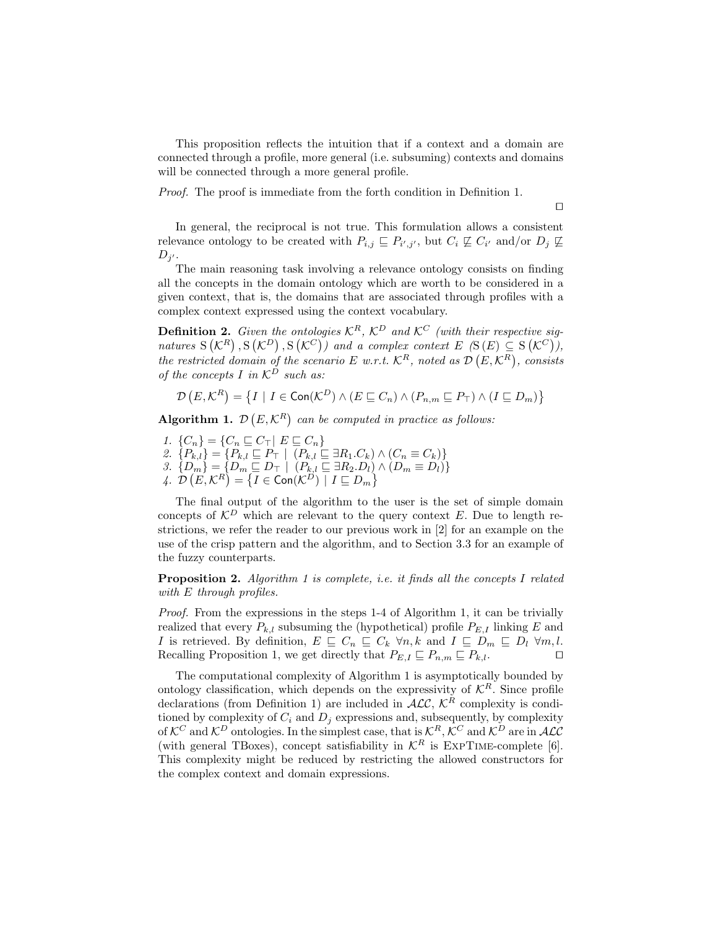This proposition reflects the intuition that if a context and a domain are connected through a profile, more general (i.e. subsuming) contexts and domains will be connected through a more general profile.

Proof. The proof is immediate from the forth condition in Definition 1.

 $\Box$ 

In general, the reciprocal is not true. This formulation allows a consistent relevance ontology to be created with  $P_{i,j} \sqsubseteq P_{i',j'}$ , but  $C_i \not\sqsubseteq C_{i'}$  and/or  $D_j \not\sqsubseteq$  $D_{j'}$ .

The main reasoning task involving a relevance ontology consists on finding all the concepts in the domain ontology which are worth to be considered in a given context, that is, the domains that are associated through profiles with a complex context expressed using the context vocabulary.

**Definition 2.** Given the ontologies  $\mathcal{K}^R$ ,  $\mathcal{K}^D$  and  $\mathcal{K}^C$  (with their respective signatures  $S(K^R), S(K^D), S(K^C)$  and a complex context  $E(S(E) \subseteq S(K^C)),$ the restricted domain of the scenario E w.r.t.  $\mathcal{K}^R$ , noted as  $\mathcal{D}(E,\mathcal{K}^R)$ , consists of the concepts I in  $\mathcal{K}^D$  such as:

$$
\mathcal{D}\left(E,\mathcal{K}^R\right) = \left\{ I \mid I \in \text{Con}(\mathcal{K}^D) \land \left(E \sqsubseteq C_n\right) \land \left(P_{n,m} \sqsubseteq P_{\top}\right) \land \left(I \sqsubseteq D_m\right) \right\}
$$

Algorithm 1.  $\mathcal{D}(E,\mathcal{K}^R)$  can be computed in practice as follows:

1.  $\{C_n\} = \{C_n \sqsubseteq C_\top | E \sqsubseteq C_n\}$ 2.  $\{P_{k,l}\} = \{P_{k,l} \sqsubseteq P_{\top} \mid (P_{k,l} \sqsubseteq \exists R_1.C_k) \wedge (C_n \equiv C_k)\}\$ 3.  ${D_m} = {D_m \sqsubseteq D_{\top} | (P_{k,l} \sqsubseteq \exists R_2.D_l) \wedge (D_m \equiv D_l)}$ 4.  $\mathcal{D}(E, \mathcal{K}^R) = \{I \in \mathsf{Con}(\mathcal{K}^D) \mid I \sqsubseteq D_m\}$ 

The final output of the algorithm to the user is the set of simple domain concepts of  $\mathcal{K}^D$  which are relevant to the query context E. Due to length restrictions, we refer the reader to our previous work in [2] for an example on the use of the crisp pattern and the algorithm, and to Section 3.3 for an example of the fuzzy counterparts.

**Proposition 2.** Algorithm 1 is complete, i.e. it finds all the concepts I related with E through profiles.

Proof. From the expressions in the steps 1-4 of Algorithm 1, it can be trivially realized that every  $P_{k,l}$  subsuming the (hypothetical) profile  $P_{E,l}$  linking E and *I* is retrieved. By definition,  $E \subseteq C_n \subseteq C_k \forall n, k$  and  $I \subseteq D_m \subseteq D_l \forall m, l$ . Recalling Proposition 1, we get directly that  $P_{E,I} \subseteq P_{n,m} \subseteq P_{k,l}$ .

The computational complexity of Algorithm 1 is asymptotically bounded by ontology classification, which depends on the expressivity of  $\mathcal{K}^R$ . Since profile declarations (from Definition 1) are included in  $\widehat{ALC}$ ,  $\widehat{K}^R$  complexity is conditioned by complexity of  $C_i$  and  $D_i$  expressions and, subsequently, by complexity of  $\mathcal{K}^C$  and  $\mathcal{K}^D$  ontologies. In the simplest case, that is  $\mathcal{K}^R$ ,  $\mathcal{K}^C$  and  $\mathcal{K}^D$  are in ALC (with general TBoxes), concept satisfiability in  $\mathcal{K}^R$  is EXPTIME-complete [6]. This complexity might be reduced by restricting the allowed constructors for the complex context and domain expressions.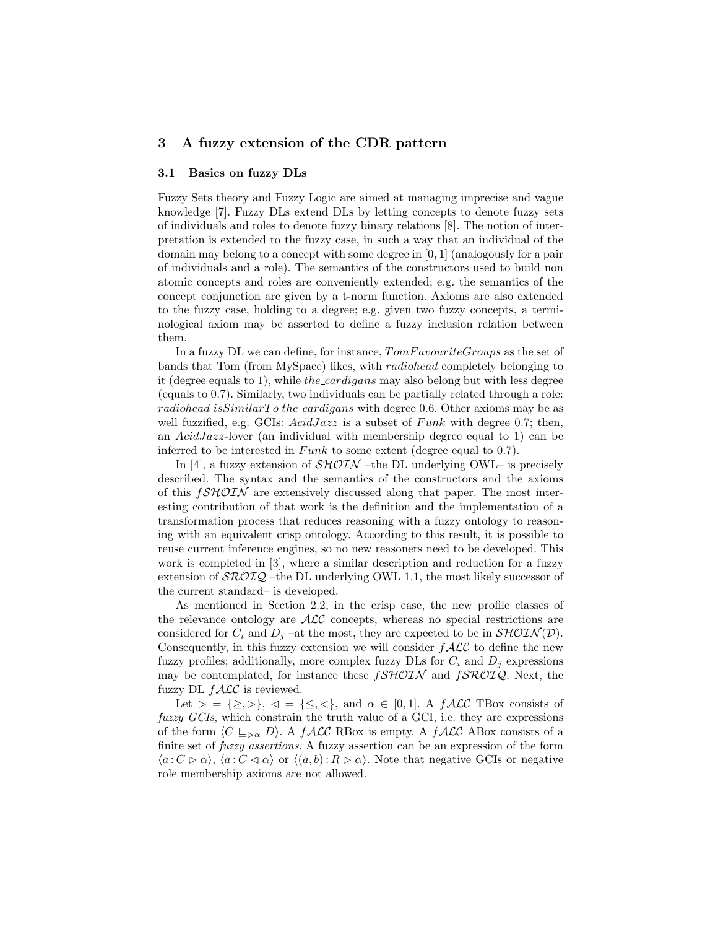## 3 A fuzzy extension of the CDR pattern

#### 3.1 Basics on fuzzy DLs

Fuzzy Sets theory and Fuzzy Logic are aimed at managing imprecise and vague knowledge [7]. Fuzzy DLs extend DLs by letting concepts to denote fuzzy sets of individuals and roles to denote fuzzy binary relations [8]. The notion of interpretation is extended to the fuzzy case, in such a way that an individual of the domain may belong to a concept with some degree in [0, 1] (analogously for a pair of individuals and a role). The semantics of the constructors used to build non atomic concepts and roles are conveniently extended; e.g. the semantics of the concept conjunction are given by a t-norm function. Axioms are also extended to the fuzzy case, holding to a degree; e.g. given two fuzzy concepts, a terminological axiom may be asserted to define a fuzzy inclusion relation between them.

In a fuzzy DL we can define, for instance,  $TomFavourite Groups$  as the set of bands that Tom (from MySpace) likes, with radiohead completely belonging to it (degree equals to 1), while the cardigans may also belong but with less degree (equals to 0.7). Similarly, two individuals can be partially related through a role: radiohead is Similar To the cardigans with degree 0.6. Other axioms may be as well fuzzified, e.g. GCIs:  $AcidJazz$  is a subset of  $Funk$  with degree 0.7; then, an  $AcidJazz$ -lover (an individual with membership degree equal to 1) can be inferred to be interested in  $Funk$  to some extent (degree equal to 0.7).

In [4], a fuzzy extension of  $\mathcal{SHOIN}$  –the DL underlying OWL– is precisely described. The syntax and the semantics of the constructors and the axioms of this  $fSHOIN$  are extensively discussed along that paper. The most interesting contribution of that work is the definition and the implementation of a transformation process that reduces reasoning with a fuzzy ontology to reasoning with an equivalent crisp ontology. According to this result, it is possible to reuse current inference engines, so no new reasoners need to be developed. This work is completed in [3], where a similar description and reduction for a fuzzy extension of  $\mathcal{SROIQ}$  –the DL underlying OWL 1.1, the most likely successor of the current standard– is developed.

As mentioned in Section 2.2, in the crisp case, the new profile classes of the relevance ontology are  $\mathcal{ALC}$  concepts, whereas no special restrictions are considered for  $C_i$  and  $D_j$  –at the most, they are expected to be in  $\mathcal{SHOLN}(D)$ . Consequently, in this fuzzy extension we will consider  $f\mathcal{ALC}$  to define the new fuzzy profiles; additionally, more complex fuzzy DLs for  $C_i$  and  $D_j$  expressions may be contemplated, for instance these  $f\mathcal{SHOIN}$  and  $f\mathcal{SROIQ}$ . Next, the fuzzy DL  $f$  $\mathcal{ALC}$  is reviewed.

Let  $\rhd = \{\geq, >\}, \ \lhd = \{\leq, <\}, \text{ and } \alpha \in [0,1].$  A  $f\mathcal{ALC}$  TBox consists of fuzzy GCIs, which constrain the truth value of a GCI, i.e. they are expressions of the form  $\langle C \sqsubseteq_{\rhd \alpha} D \rangle$ . A fALC RBox is empty. A fALC ABox consists of a finite set of *fuzzy assertions*. A fuzzy assertion can be an expression of the form  $\langle a : C \rhd \alpha \rangle$ ,  $\langle a : C \lhd \alpha \rangle$  or  $\langle (a, b) : R \rhd \alpha \rangle$ . Note that negative GCIs or negative role membership axioms are not allowed.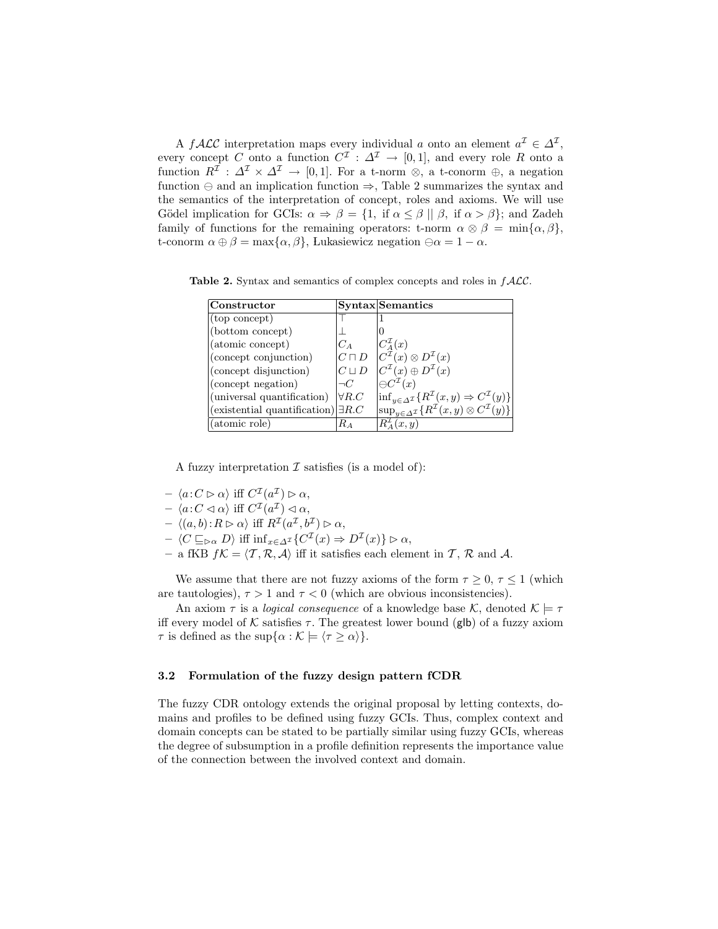A  $f$ ALC interpretation maps every individual a onto an element  $a^{\mathcal{I}} \in \Delta^{\mathcal{I}}$ , every concept C onto a function  $C^{\mathcal{I}}: \Delta^{\mathcal{I}} \to [0,1]$ , and every role R onto a function  $R^{\mathcal{I}}: \Delta^{\mathcal{I}} \times \Delta^{\mathcal{I}} \to [0,1]$ . For a t-norm ⊗, a t-conorm ⊕, a negation function  $\ominus$  and an implication function  $\Rightarrow$ , Table 2 summarizes the syntax and the semantics of the interpretation of concept, roles and axioms. We will use Gödel implication for GCIs:  $\alpha \Rightarrow \beta = \{1, \text{ if } \alpha \leq \beta \mid \beta, \text{ if } \alpha > \beta \};$  and Zadeh family of functions for the remaining operators: t-norm  $\alpha \otimes \beta = \min{\{\alpha, \beta\}}$ , t-conorm  $\alpha \oplus \beta = \max{\{\alpha, \beta\}}$ , Lukasiewicz negation  $\ominus \alpha = 1 - \alpha$ .

Table 2. Syntax and semantics of complex concepts and roles in  $fACC$ .

| Constructor                                |               | <b>Syntax</b> Semantics                                                                                       |
|--------------------------------------------|---------------|---------------------------------------------------------------------------------------------------------------|
| (top concept)                              |               |                                                                                                               |
| (bottom concept)                           |               |                                                                                                               |
| (atomic concept)                           | $C_A$         | $ C_A^{\mathcal{I}}(x) $                                                                                      |
| (concept conjunction)                      | $C\sqcap D$   | $ C^{\mathcal{I}}(x)\otimes D^{\mathcal{I}}(x) $                                                              |
| (concept disjunction)                      | $C \sqcup D$  | $C^{\mathcal{I}}(x)\oplus D^{\mathcal{I}}(x)$                                                                 |
| (concept negation)                         | $\neg C$      | $\ominus C^{\mathcal{I}}(x)$                                                                                  |
| (universal quantification)                 | $\forall R.C$ | $\left  \inf_{y \in \Delta^{\mathcal{I}}} \{ R^{\mathcal{I}}(x, y) \Rightarrow C^{\mathcal{I}}(y) \} \right $ |
| (existential quantification) $\exists R.C$ |               | $\sup_{y \in \Delta^{\mathcal{I}}} \{ R^{\mathcal{I}}(x, y) \otimes C^{\mathcal{I}}(y) \}$                    |
| (atomic role)                              | Rа            | $R^2_{\mathcal{A}}(x,y)$                                                                                      |

A fuzzy interpretation  $\mathcal I$  satisfies (is a model of):

- $\langle a \colon C \rhd \alpha \rangle$  iff  $C^{\mathcal{I}}(a^{\mathcal{I}}) \rhd \alpha$ ,
- $\langle a \colon C \triangleleft \alpha \rangle \text{ iff } C^{\mathcal{I}}(a^{\mathcal{I}}) \triangleleft \alpha,$
- $\langle (a, b) : R \rhd \alpha \rangle$  iff  $R^{\mathcal{I}}(a^{\mathcal{I}}, b^{\mathcal{I}}) \rhd \alpha$ ,
- $\langle C \sqsubseteq_{\triangleright \alpha} D \rangle$  iff  $\inf_{x \in \Delta^{\mathcal{I}}} \{ C^{\mathcal{I}}(x) \Rightarrow D^{\mathcal{I}}(x) \} \triangleright \alpha$ ,
- a fKB  $f\mathcal{K} = \langle \mathcal{T}, \mathcal{R}, \mathcal{A} \rangle$  iff it satisfies each element in  $\mathcal{T}, \mathcal{R}$  and  $\mathcal{A}$ .

We assume that there are not fuzzy axioms of the form  $\tau \geq 0$ ,  $\tau \leq 1$  (which are tautologies),  $\tau > 1$  and  $\tau < 0$  (which are obvious inconsistencies).

An axiom  $\tau$  is a *logical consequence* of a knowledge base K, denoted  $\mathcal{K} \models \tau$ iff every model of K satisfies  $\tau$ . The greatest lower bound (glb) of a fuzzy axiom  $\tau$  is defined as the sup $\{\alpha : \mathcal{K} \models \langle \tau \geq \alpha \rangle\}.$ 

## 3.2 Formulation of the fuzzy design pattern fCDR

The fuzzy CDR ontology extends the original proposal by letting contexts, domains and profiles to be defined using fuzzy GCIs. Thus, complex context and domain concepts can be stated to be partially similar using fuzzy GCIs, whereas the degree of subsumption in a profile definition represents the importance value of the connection between the involved context and domain.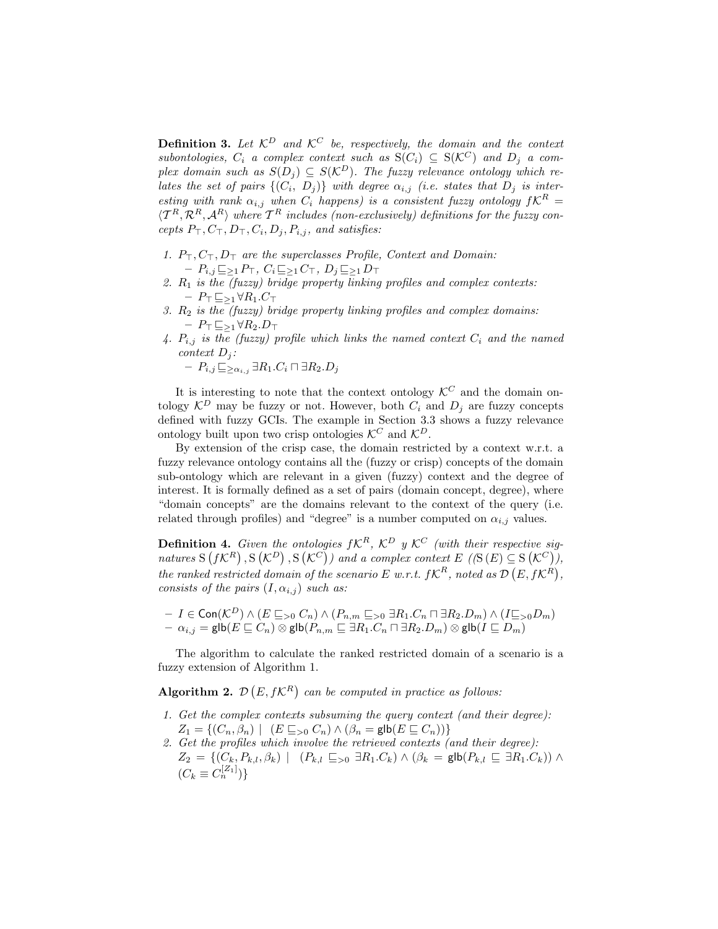**Definition 3.** Let  $\mathcal{K}^D$  and  $\mathcal{K}^C$  be, respectively, the domain and the context subontologies,  $C_i$  a complex context such as  $S(C_i) \subseteq S(\mathcal{K}^C)$  and  $D_i$  a complex domain such as  $S(D_i) \subseteq S(\mathcal{K}^D)$ . The fuzzy relevance ontology which relates the set of pairs  $\{(C_i, D_j)\}\$  with degree  $\alpha_{i,j}$  (i.e. states that  $D_j$  is interesting with rank  $\alpha_{i,j}$  when  $C_i$  happens) is a consistent fuzzy ontology  $fK^R =$  $\langle T^R, \mathcal{R}^R, \mathcal{A}^R \rangle$  where  $\mathcal{T}^R$  includes (non-exclusively) definitions for the fuzzy concepts  $P_{\top}, C_{\top}, D_{\top}, C_i, D_j, P_{i,j}$ , and satisfies:

- 1.  $P_{\top}, C_{\top}, D_{\top}$  are the superclasses Profile, Context and Domain:  $-P_{i,j}\sqsubseteq_{\geq 1} P_{\top}, C_i \sqsubseteq_{\geq 1} C_{\top}, D_j \sqsubseteq_{\geq 1} D_{\top}$
- 2.  $R_1$  is the (fuzzy) bridge property linking profiles and complex contexts: –  $P_\top \sqsubseteq_{\geq 1} \forall R_1.C_\top$
- 3.  $R_2$  is the (fuzzy) bridge property linking profiles and complex domains:  $- P_{\top} \sqsubseteq_{\geq 1} \forall R_2 \ldotp D_{\top}$
- 4.  $P_{i,j}$  is the (fuzzy) profile which links the named context  $C_i$  and the named context  $D_j$ :

 $-P_{i,j} \sqsubseteq_{\geq \alpha_{i,j}} \exists R_1.C_i \sqcap \exists R_2.D_j$ 

It is interesting to note that the context ontology  $\mathcal{K}^C$  and the domain ontology  $\mathcal{K}^D$  may be fuzzy or not. However, both  $C_i$  and  $D_j$  are fuzzy concepts defined with fuzzy GCIs. The example in Section 3.3 shows a fuzzy relevance ontology built upon two crisp ontologies  $\mathcal{K}^C$  and  $\mathcal{K}^D$ .

By extension of the crisp case, the domain restricted by a context w.r.t. a fuzzy relevance ontology contains all the (fuzzy or crisp) concepts of the domain sub-ontology which are relevant in a given (fuzzy) context and the degree of interest. It is formally defined as a set of pairs (domain concept, degree), where "domain concepts" are the domains relevant to the context of the query (i.e. related through profiles) and "degree" is a number computed on  $\alpha_{i,j}$  values.

**Definition 4.** Given the ontologies  $fK^R$ ,  $K^D$  y  $K^C$  (with their respective signatures  $S(f\mathcal{K}^R), S(\mathcal{K}^D), S(\mathcal{K}^C)$  and a complex context  $E((S(E) \subseteq S(\mathcal{K}^C)),$ the ranked restricted domain of the scenario E w.r.t.  $fK^R$ , noted as  $\mathcal{D}(E, fK^R)$ , consists of the pairs  $(I, \alpha_{i,j})$  such as:

$$
\begin{array}{l}-\ I\in {\sf Con}({\mathcal K}^D)\wedge (E\sqsubseteq_{>0} C_n)\wedge (P_{n,m}\sqsubseteq_{>0}\exists R_1.C_n\sqcap \exists R_2.D_m)\wedge (I\sqsubseteq_{>0} D_m)\\-\ \alpha_{i,j}=\mathsf{glb}(E\sqsubseteq C_n)\otimes \mathsf{glb}(P_{n,m}\sqsubseteq \exists R_1.C_n\sqcap \exists R_2.D_m)\otimes \mathsf{glb}(I\sqsubseteq D_m)\end{array}
$$

The algorithm to calculate the ranked restricted domain of a scenario is a fuzzy extension of Algorithm 1.

Algorithm 2.  $\mathcal{D}(E, f\mathcal{K}^R)$  can be computed in practice as follows:

- 1. Get the complex contexts subsuming the query context (and their degree):  $Z_1 = \{(C_n, \beta_n) \mid (E \sqsubseteq_{> 0} C_n) \wedge (\beta_n = \mathsf{glb}(E \sqsubseteq C_n))\}$
- 2. Get the profiles which involve the retrieved contexts (and their degree):  $Z_2 = \{(C_k, P_{k,l}, \beta_k) \mid (P_{k,l} \subseteq_{>0} \exists R_1.C_k) \wedge (\beta_k = \mathsf{glb}(P_{k,l} \subseteq \exists R_1.C_k)) \wedge$  $(C_k \equiv C_n^{[Z_1]})\}$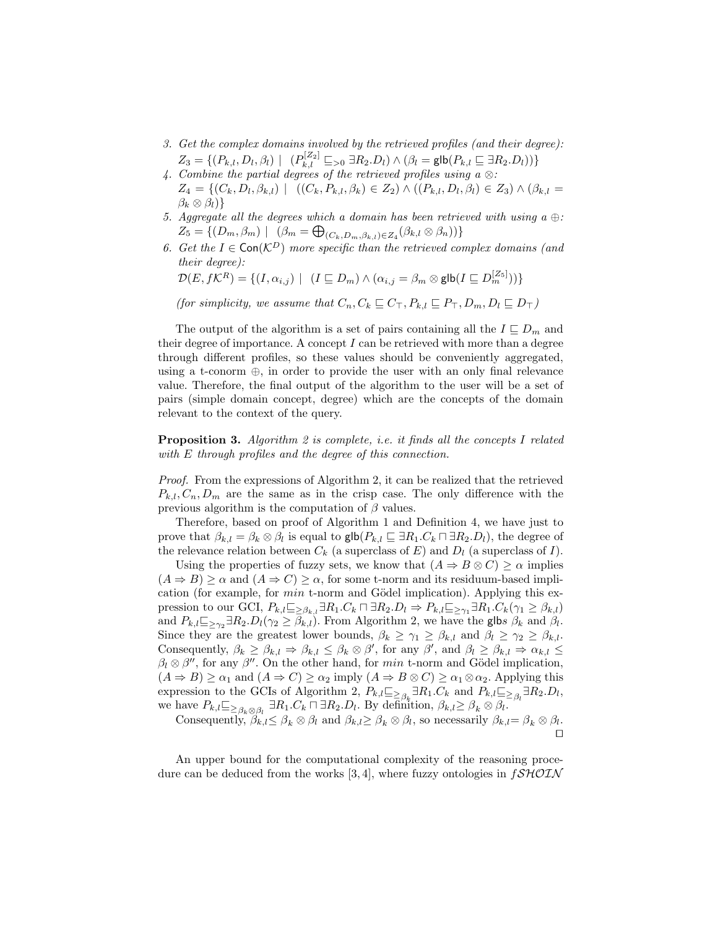- 3. Get the complex domains involved by the retrieved profiles (and their degree):  $Z_3 = \{ (P_{k,l}, D_l, \beta_l) \mid (P_{k,l}^{[Z_2]} \sqsubseteq_{> 0} \exists R_2.D_l) \wedge (\beta_l = \mathsf{glb}(P_{k,l} \sqsubseteq \exists R_2.D_l)) \}$
- 4. Combine the partial degrees of the retrieved profiles using a ⊗:  $Z_4 = \{(C_k, D_l, \beta_{k,l}) \mid ((C_k, P_{k,l}, \beta_k) \in Z_2) \wedge ((P_{k,l}, D_l, \beta_l) \in Z_3) \wedge (\beta_{k,l} =$  $\beta_k \otimes \beta_l$ }
- 5. Aggregate all the degrees which a domain has been retrieved with using a  $\oplus$ :  $Z_5 = \{ (D_m, \beta_m) \mid (\beta_m = \bigoplus_{(C_k, D_m, \beta_{k,l}) \in Z_4} (\beta_{k,l} \otimes \beta_n)) \}$
- 6. Get the  $I \in \textsf{Con}(\mathcal{K}^D)$  more specific than the retrieved complex domains (and their degree):

$$
\mathcal{D}(E, f\mathcal{K}^R) = \{ (I, \alpha_{i,j}) \mid (I \sqsubseteq D_m) \land (\alpha_{i,j} = \beta_m \otimes \mathsf{glb}(I \sqsubseteq D_m^{[Z_5]})) \}
$$

(for simplicity, we assume that  $C_n, C_k \sqsubseteq C_{\top}, P_{k,l} \sqsubseteq P_{\top}, D_m, D_l \sqsubseteq D_{\top}$ )

The output of the algorithm is a set of pairs containing all the  $I \subseteq D_m$  and their degree of importance. A concept  $I$  can be retrieved with more than a degree through different profiles, so these values should be conveniently aggregated, using a t-conorm ⊕, in order to provide the user with an only final relevance value. Therefore, the final output of the algorithm to the user will be a set of pairs (simple domain concept, degree) which are the concepts of the domain relevant to the context of the query.

**Proposition 3.** Algorithm 2 is complete, i.e. it finds all the concepts I related with E through profiles and the degree of this connection.

Proof. From the expressions of Algorithm 2, it can be realized that the retrieved  $P_{k,l}, C_n, D_m$  are the same as in the crisp case. The only difference with the previous algorithm is the computation of  $\beta$  values.

Therefore, based on proof of Algorithm 1 and Definition 4, we have just to prove that  $\beta_{k,l} = \beta_k \otimes \beta_l$  is equal to  $\mathsf{glb}(P_{k,l} \sqsubseteq \exists R_1.C_k \sqcap \exists R_2.D_l)$ , the degree of the relevance relation between  $C_k$  (a superclass of E) and  $D_l$  (a superclass of I).

Using the properties of fuzzy sets, we know that  $(A \Rightarrow B \otimes C) \ge \alpha$  implies  $(A \Rightarrow B) \ge \alpha$  and  $(A \Rightarrow C) \ge \alpha$ , for some t-norm and its residuum-based implication (for example, for  $min$  t-norm and Gödel implication). Applying this expression to our GCI,  $P_{k,l} \subseteq \Delta_{\beta_{k,l}} \exists R_1.C_k \sqcap \exists R_2.D_l \Rightarrow P_{k,l} \subseteq \Delta_{\gamma_1} \exists R_1.C_k(\gamma_1 \geq \beta_{k,l})$ and  $P_{k,l} \subseteq \Delta_{\gamma_2} \exists R_2.D_l(\gamma_2 \geq \beta_{k,l})$ . From Algorithm 2, we have the glbs  $\beta_k$  and  $\beta_l$ . Since they are the greatest lower bounds,  $\beta_k \geq \gamma_1 \geq \beta_{k,l}$  and  $\beta_l \geq \gamma_2 \geq \beta_{k,l}$ . Consequently,  $\beta_k \geq \beta_{k,l} \Rightarrow \beta_{k,l} \leq \beta_k \otimes \beta'$ , for any  $\beta'$ , and  $\beta_l \geq \beta_{k,l} \Rightarrow \alpha_{k,l} \leq \beta'$  $\beta_l \otimes \beta''$ , for any  $\beta''$ . On the other hand, for min t-norm and Gödel implication,  $(A \Rightarrow B) \ge \alpha_1$  and  $(A \Rightarrow C) \ge \alpha_2$  imply  $(A \Rightarrow B \otimes C) \ge \alpha_1 \otimes \alpha_2$ . Applying this expression to the GCIs of Algorithm 2,  $P_{k,l} \equiv \sum_{\beta_k} \exists R_1 \cdot C_k$  and  $P_{k,l} \equiv \sum_{\beta_l} \exists R_2 \cdot D_l$ , we have  $P_{k,l} \subseteq_{\beta_k \otimes \beta_l} \exists R_1.C_k \sqcap \exists R_2.D_l$ . By definition,  $\beta_{k,l} \geq \beta_k \otimes \beta_l$ .

Consequently,  $\beta_{k,l} \leq \beta_k \otimes \beta_l$  and  $\beta_{k,l} \geq \beta_k \otimes \beta_l$ , so necessarily  $\beta_{k,l} = \beta_k \otimes \beta_l$ .  $\Box$ 

An upper bound for the computational complexity of the reasoning procedure can be deduced from the works [3, 4], where fuzzy ontologies in  $f\mathcal{SHOIN}$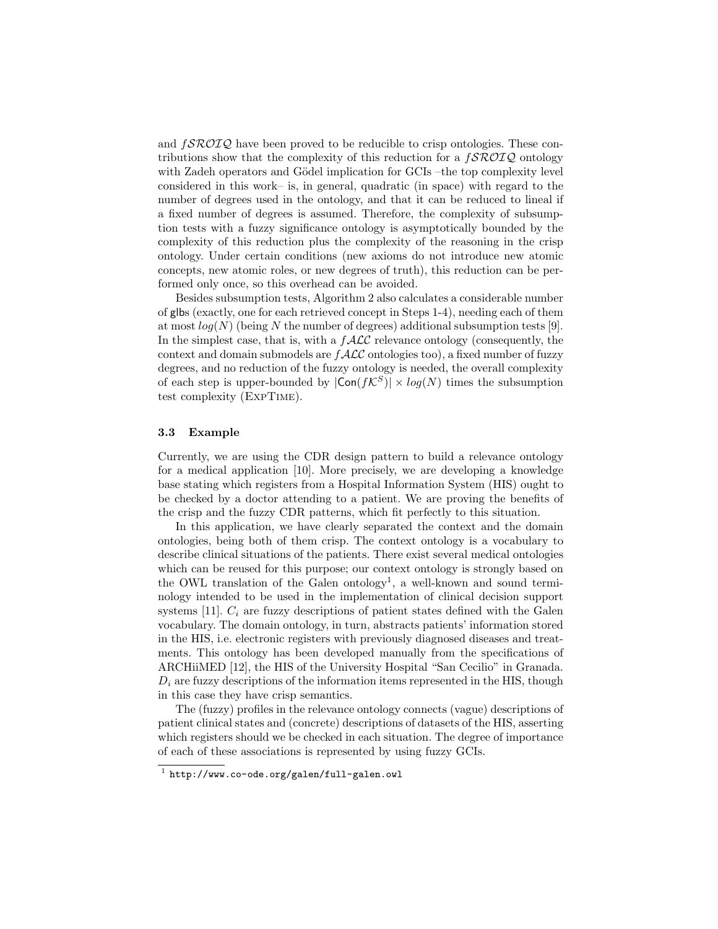and  $f\mathcal{SROTQ}$  have been proved to be reducible to crisp ontologies. These contributions show that the complexity of this reduction for a  $f\mathcal{SROIQ}$  ontology with Zadeh operators and Gödel implication for GCIs –the top complexity level considered in this work– is, in general, quadratic (in space) with regard to the number of degrees used in the ontology, and that it can be reduced to lineal if a fixed number of degrees is assumed. Therefore, the complexity of subsumption tests with a fuzzy significance ontology is asymptotically bounded by the complexity of this reduction plus the complexity of the reasoning in the crisp ontology. Under certain conditions (new axioms do not introduce new atomic concepts, new atomic roles, or new degrees of truth), this reduction can be performed only once, so this overhead can be avoided.

Besides subsumption tests, Algorithm 2 also calculates a considerable number of glbs (exactly, one for each retrieved concept in Steps 1-4), needing each of them at most  $log(N)$  (being N the number of degrees) additional subsumption tests [9]. In the simplest case, that is, with a  $f$  $\mathcal{ALC}$  relevance ontology (consequently, the context and domain submodels are  $f\mathcal{ALC}$  ontologies too), a fixed number of fuzzy degrees, and no reduction of the fuzzy ontology is needed, the overall complexity of each step is upper-bounded by  $|\textsf{Con}(fK^S)| \times \log(N)$  times the subsumption test complexity (ExpTime).

#### 3.3 Example

Currently, we are using the CDR design pattern to build a relevance ontology for a medical application [10]. More precisely, we are developing a knowledge base stating which registers from a Hospital Information System (HIS) ought to be checked by a doctor attending to a patient. We are proving the benefits of the crisp and the fuzzy CDR patterns, which fit perfectly to this situation.

In this application, we have clearly separated the context and the domain ontologies, being both of them crisp. The context ontology is a vocabulary to describe clinical situations of the patients. There exist several medical ontologies which can be reused for this purpose; our context ontology is strongly based on the OWL translation of the Galen ontology<sup>1</sup>, a well-known and sound terminology intended to be used in the implementation of clinical decision support systems [11].  $C_i$  are fuzzy descriptions of patient states defined with the Galen vocabulary. The domain ontology, in turn, abstracts patients' information stored in the HIS, i.e. electronic registers with previously diagnosed diseases and treatments. This ontology has been developed manually from the specifications of ARCHiiMED [12], the HIS of the University Hospital "San Cecilio" in Granada.  $D_i$  are fuzzy descriptions of the information items represented in the HIS, though in this case they have crisp semantics.

The (fuzzy) profiles in the relevance ontology connects (vague) descriptions of patient clinical states and (concrete) descriptions of datasets of the HIS, asserting which registers should we be checked in each situation. The degree of importance of each of these associations is represented by using fuzzy GCIs.

 $^1$  http://www.co-ode.org/galen/full-galen.owl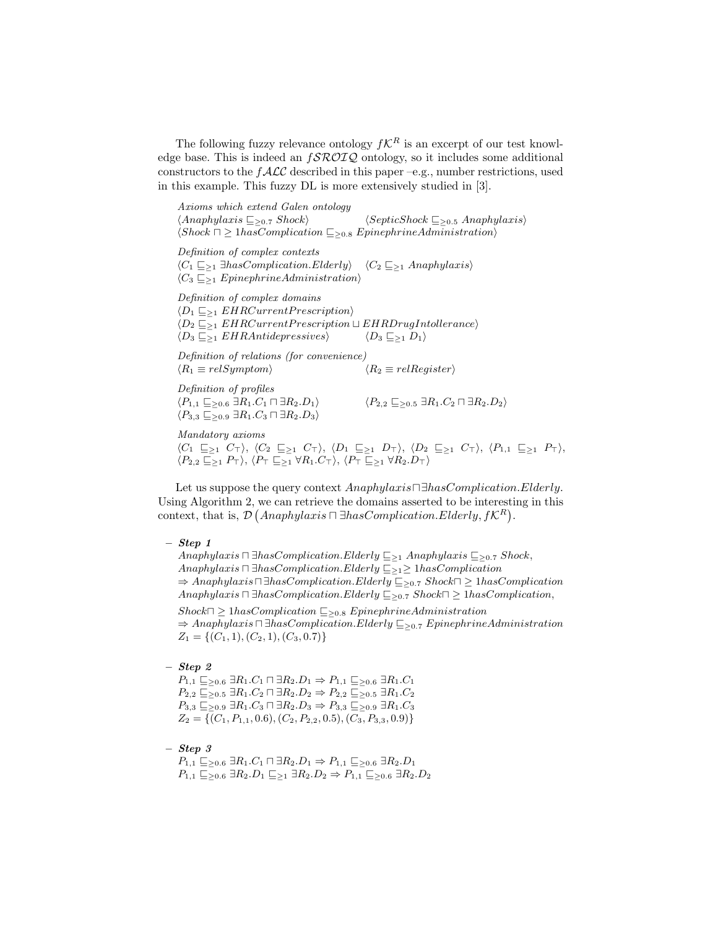The following fuzzy relevance ontology  $f\mathcal{K}^R$  is an excerpt of our test knowledge base. This is indeed an  $f\mathcal{SROTQ}$  ontology, so it includes some additional constructors to the  $f\mathcal{ALC}$  described in this paper –e.g., number restrictions, used in this example. This fuzzy DL is more extensively studied in [3].

Axioms which extend Galen ontology  $\langle Anaphylaxis \sqsubseteq_{\geq 0.7} Shock \rangle$   $\langle SepticShock \sqsubseteq_{\geq 0.5} Anaphylaxis \rangle$  $\langle Shock \sqcap \geq 1 has Complication \sqsubseteq_{\geq 0.8} EpinephrineAdministration \rangle$ Definition of complex contexts  $\langle C_1 \sqsubseteq_{\geq 1} \exists hasComplication.Elderly \rangle$   $\langle C_2 \sqsubseteq_{\geq 1} Anaphylaxis \rangle$  $\langle C_3 \sqsubseteq_{\geq 1} EpinephrineAdministration \rangle$ 

Definition of complex domains  $\langle D_1 \sqsubseteq_{\geq 1} EHRCurrent Precision \rangle$  $\langle D_2 \sqsubseteq_{\geq 1} EHRCurrent prescription \sqcup EHR DrugIndlerance \rangle$  $\langle D_3 \sqsubseteq_{\geq 1} EHRAntidepressives \rangle$   $\langle D_3 \sqsubseteq_{\geq 1} D_1 \rangle$ 

Definition of relations (for convenience)  $\langle R_1 \equiv relSymptom \rangle$   $\langle R_2 \equiv relRegister \rangle$ Definition of profiles

 $\langle P_{3,3} \sqsubseteq_{\geq 0.9} \exists R_1.C_3 \sqcap \exists R_2.D_3 \rangle$ 

 $\langle P_{1,1} \sqsubseteq_{\geq 0.6} \exists R_1.C_1 \sqcap \exists R_2.D_1 \rangle$   $\langle P_{2,2} \sqsubseteq_{\geq 0.5} \exists R_1.C_2 \sqcap \exists R_2.D_2 \rangle$ 

Mandatory axioms

 $\langle C_1 \subseteq_{\geq 1} C_{\top} \rangle$ ,  $\langle C_2 \subseteq_{\geq 1} C_{\top} \rangle$ ,  $\langle D_1 \subseteq_{\geq 1} D_{\top} \rangle$ ,  $\langle D_2 \subseteq_{\geq 1} C_{\top} \rangle$ ,  $\langle P_{1,1} \subseteq_{\geq 1} P_{\top} \rangle$ ,  $\langle P_{2,2} \sqsubseteq_{\geq 1} P_{\top} \rangle$ ,  $\langle P_{\top} \sqsubseteq_{\geq 1} \forall R_1.C_{\top} \rangle$ ,  $\langle P_{\top} \sqsubseteq_{\geq 1} \forall R_2.D_{\top} \rangle$ 

Let us suppose the query context  $Anaphylaxis \Box hasComplication. Elderly.$ Using Algorithm 2, we can retrieve the domains asserted to be interesting in this context, that is,  $\mathcal{D}$  (Anaphylaxis  $\Box$   $\exists$ hasComplication.Elderly,  $f\mathcal{K}^R$ ).

– Step 1

Anaphylaxis  $\Box$  ∃hasComplication.Elderly  $\sqsubseteq_{\geq 1}$  Anaphylaxis  $\sqsubseteq_{\geq 0.7}$  Shock, Anaphylaxis  $\Box$  ∃hasComplication.Elderly  $\Box_{\geq 1} \geq \Box$  1hasComplication  $\Rightarrow$  Anaphylaxis $\Box$   $\exists$ hasComplication.Elderly  $\subseteq_{\geq 0.7}$  Shock $\Box \geq \Box$  hasComplication Anaphylaxis  $\Box$  ∃hasComplication.Elderly  $\sqsubseteq_{\geq 0.7}$  Shock $\Box \geq \Box$  hasComplication,

 $Shock\Box \geq 1 has Complication \sqsubseteq_{\geq 0.8} EpinephrineAdministration$  $\Rightarrow$  Anaphylaxis  $\Box$  ∃hasComplication.Elderly  $\sqsubseteq_{\geq 0.7}$  EpinephrineAdministration  $Z_1 = \{(C_1, 1), (C_2, 1), (C_3, 0.7)\}\$ 

#### – Step 2

 $P_{1,1} \sqsubseteq_{\geq 0.6} \exists R_1.C_1 \sqcap \exists R_2.D_1 \Rightarrow P_{1,1} \sqsubseteq_{\geq 0.6} \exists R_1.C_1$  $P_{2,2} \sqsubseteq_{\geq 0.5} \exists R_1.C_2 \sqcap \exists R_2.D_2 \Rightarrow P_{2,2} \sqsubseteq_{\geq 0.5} \exists R_1.C_2$  $P_{3,3} \sqsubseteq_{\geq 0.9} \exists R_1.C_3 \sqcap \exists R_2.D_3 \Rightarrow P_{3,3} \sqsubseteq_{\geq 0.9} \exists R_1.C_3$  $Z_2 = \{ (C_1, P_{1,1}, 0.6), (C_2, P_{2,2}, 0.5), (C_3, P_{3,3}, 0.9) \}$ 

 $-$  Step  $3$ 

 $P_{1,1} \sqsubseteq_{\geq 0.6} \exists R_1.C_1 \sqcap \exists R_2.D_1 \Rightarrow P_{1,1} \sqsubseteq_{\geq 0.6} \exists R_2.D_1$  $P_{1,1} \sqsubseteq_{\geq 0.6} \exists R_2.D_1 \sqsubseteq_{\geq 1} \exists R_2.D_2 \Rightarrow P_{1,1} \sqsubseteq_{\geq 0.6} \exists R_2.D_2$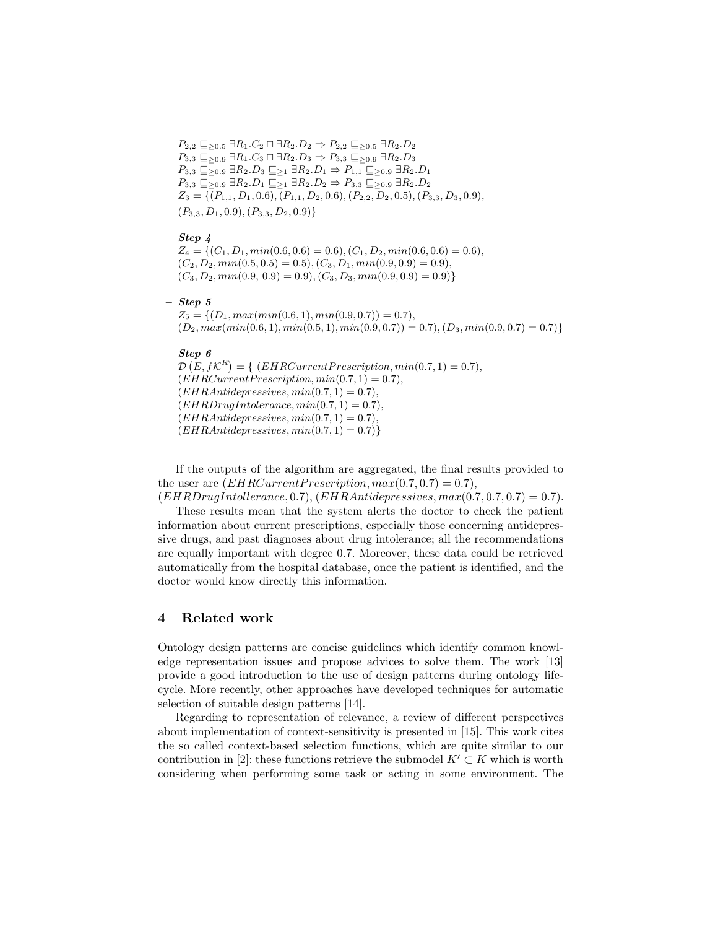$P_{2,2} \sqsubseteq_{\geq 0.5} \exists R_1.C_2 \sqcap \exists R_2.D_2 \Rightarrow P_{2,2} \sqsubseteq_{\geq 0.5} \exists R_2.D_2$  $P_{3,3} \sqsubseteq_{\geq 0.9} \exists R_1.C_3 \sqcap \exists R_2.D_3 \Rightarrow P_{3,3} \sqsubseteq_{\geq 0.9} \exists R_2.D_3$  $P_{3,3} \sqsubseteq_{\geq 0.9} \exists R_2.D_3 \sqsubseteq_{\geq 1} \exists R_2.D_1 \Rightarrow P_{1,1} \sqsubseteq_{\geq 0.9} \exists R_2.D_1$  $P_{3,3} \sqsubseteq_{\geq 0.9} \exists R_2.D_1 \sqsubseteq_{\geq 1} \exists R_2.D_2 \Rightarrow P_{3,3} \sqsubseteq_{\geq 0.9} \exists R_2.D_2$  $Z_3 = \{(P_{1,1}, D_1, 0.6), (P_{1,1}, D_2, 0.6), (P_{2,2}, D_2, 0.5), (P_{3,3}, D_3, 0.9),\}$  $(P_{3,3}, D_1, 0.9), (P_{3,3}, D_2, 0.9)$ 

 $-$  Step  $\lambda$ 

 $Z_4 = \{(C_1, D_1, min(0.6, 0.6) = 0.6), (C_1, D_2, min(0.6, 0.6) = 0.6),$  $(C_2, D_2, min(0.5, 0.5) = 0.5), (C_3, D_1, min(0.9, 0.9) = 0.9),$  $(C_3, D_2, min(0.9, 0.9) = 0.9), (C_3, D_3, min(0.9, 0.9) = 0.9)$ 

 $-$  Step 5

 $Z_5 = \{(D_1, max(min(0.6, 1), min(0.9, 0.7)) = 0.7),\}$  $(D_2, max(min(0.6, 1), min(0.5, 1), min(0.9, 0.7)) = 0.7), (D_3, min(0.9, 0.7) = 0.7)\}$ 

 $-$  Step 6

 $\mathcal{D}\left(E, f\mathcal{K}^R\right) = \{ \text{ } (EHRCurrentPrescription, min(0.7, 1) = 0.7),$  $(EHRCurrent Prescription, min(0.7, 1) = 0.7),$  $(EHRAntidepressives, min(0.7, 1) = 0.7),$  $(EHRDrugIntolerance, min(0.7, 1) = 0.7),$  $(EHRAntidepressives, min(0.7, 1) = 0.7),$  $(EHRAntidepressives, min(0.7, 1) = 0.7)$ 

If the outputs of the algorithm are aggregated, the final results provided to the user are  $(EHRCurrent Precision, max(0.7, 0.7) = 0.7)$ ,

 $(EHRDrugIndlerance, 0.7), (EHRAntidernessives, max(0.7, 0.7, 0.7) = 0.7).$ These results mean that the system alerts the doctor to check the patient information about current prescriptions, especially those concerning antidepressive drugs, and past diagnoses about drug intolerance; all the recommendations are equally important with degree 0.7. Moreover, these data could be retrieved automatically from the hospital database, once the patient is identified, and the doctor would know directly this information.

## 4 Related work

Ontology design patterns are concise guidelines which identify common knowledge representation issues and propose advices to solve them. The work [13] provide a good introduction to the use of design patterns during ontology lifecycle. More recently, other approaches have developed techniques for automatic selection of suitable design patterns [14].

Regarding to representation of relevance, a review of different perspectives about implementation of context-sensitivity is presented in [15]. This work cites the so called context-based selection functions, which are quite similar to our contribution in [2]: these functions retrieve the submodel  $K' \subset K$  which is worth considering when performing some task or acting in some environment. The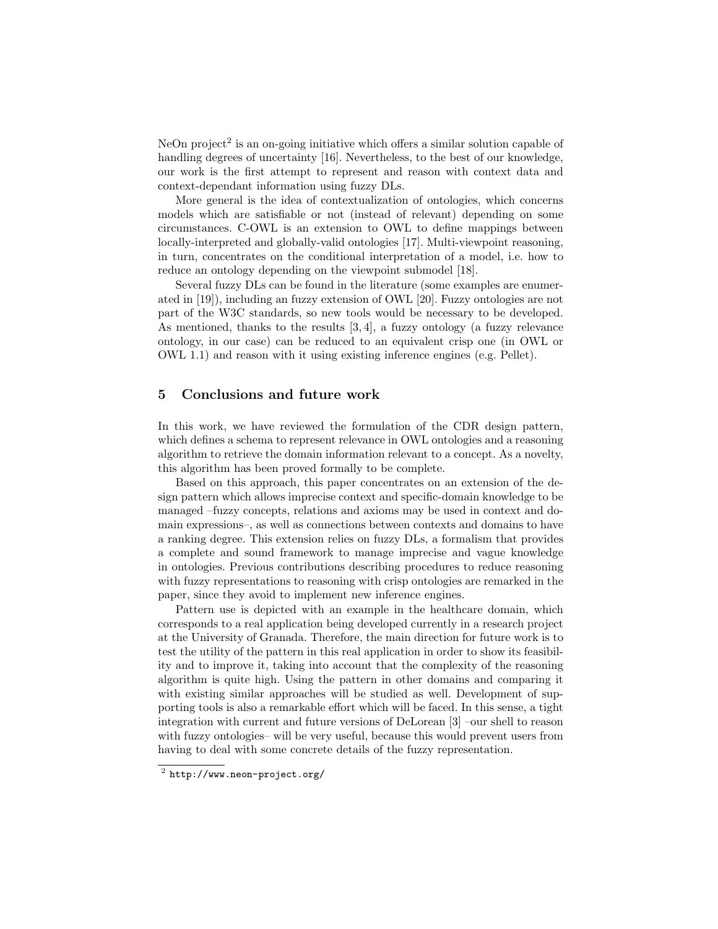NeOn project<sup>2</sup> is an on-going initiative which offers a similar solution capable of handling degrees of uncertainty [16]. Nevertheless, to the best of our knowledge, our work is the first attempt to represent and reason with context data and context-dependant information using fuzzy DLs.

More general is the idea of contextualization of ontologies, which concerns models which are satisfiable or not (instead of relevant) depending on some circumstances. C-OWL is an extension to OWL to define mappings between locally-interpreted and globally-valid ontologies [17]. Multi-viewpoint reasoning, in turn, concentrates on the conditional interpretation of a model, i.e. how to reduce an ontology depending on the viewpoint submodel [18].

Several fuzzy DLs can be found in the literature (some examples are enumerated in [19]), including an fuzzy extension of OWL [20]. Fuzzy ontologies are not part of the W3C standards, so new tools would be necessary to be developed. As mentioned, thanks to the results [3, 4], a fuzzy ontology (a fuzzy relevance ontology, in our case) can be reduced to an equivalent crisp one (in OWL or OWL 1.1) and reason with it using existing inference engines (e.g. Pellet).

## 5 Conclusions and future work

In this work, we have reviewed the formulation of the CDR design pattern, which defines a schema to represent relevance in OWL ontologies and a reasoning algorithm to retrieve the domain information relevant to a concept. As a novelty, this algorithm has been proved formally to be complete.

Based on this approach, this paper concentrates on an extension of the design pattern which allows imprecise context and specific-domain knowledge to be managed –fuzzy concepts, relations and axioms may be used in context and domain expressions–, as well as connections between contexts and domains to have a ranking degree. This extension relies on fuzzy DLs, a formalism that provides a complete and sound framework to manage imprecise and vague knowledge in ontologies. Previous contributions describing procedures to reduce reasoning with fuzzy representations to reasoning with crisp ontologies are remarked in the paper, since they avoid to implement new inference engines.

Pattern use is depicted with an example in the healthcare domain, which corresponds to a real application being developed currently in a research project at the University of Granada. Therefore, the main direction for future work is to test the utility of the pattern in this real application in order to show its feasibility and to improve it, taking into account that the complexity of the reasoning algorithm is quite high. Using the pattern in other domains and comparing it with existing similar approaches will be studied as well. Development of supporting tools is also a remarkable effort which will be faced. In this sense, a tight integration with current and future versions of DeLorean [3] –our shell to reason with fuzzy ontologies– will be very useful, because this would prevent users from having to deal with some concrete details of the fuzzy representation.

 $^2$  http://www.neon-project.org/